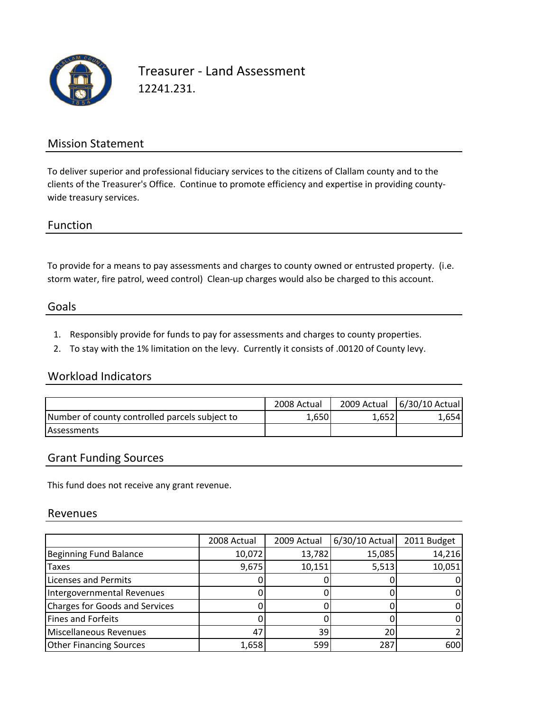

Treasurer ‐ Land Assessment 12241.231.

## Mission Statement

To deliver superior and professional fiduciary services to the citizens of Clallam county and to the clients of the Treasurer's Office. Continue to promote efficiency and expertise in providing county‐ wide treasury services.

### Function

To provide for a means to pay assessments and charges to county owned or entrusted property. (i.e. storm water, fire patrol, weed control) Clean-up charges would also be charged to this account.

#### Goals

- 1. Responsibly provide for funds to pay for assessments and charges to county properties.
- 2. To stay with the 1% limitation on the levy. Currently it consists of .00120 of County levy.

### Workload Indicators

|                                                | 2008 Actual |       | 2009 Actual   6/30/10 Actual |
|------------------------------------------------|-------------|-------|------------------------------|
| Number of county controlled parcels subject to | 1.650       | 1.652 | '.654                        |
| <b>Assessments</b>                             |             |       |                              |

## Grant Funding Sources

This fund does not receive any grant revenue.

#### Revenues

|                                       | 2008 Actual | 2009 Actual | 6/30/10 Actual | 2011 Budget |
|---------------------------------------|-------------|-------------|----------------|-------------|
| Beginning Fund Balance                | 10,072      | 13,782      | 15,085         | 14,216      |
| <b>Taxes</b>                          | 9,675       | 10,151      | 5,513          | 10,051      |
| <b>Licenses and Permits</b>           |             |             |                |             |
| Intergovernmental Revenues            |             |             |                |             |
| <b>Charges for Goods and Services</b> |             |             |                |             |
| Fines and Forfeits                    |             |             |                |             |
| Miscellaneous Revenues                | 47          | 39          | 20             |             |
| <b>Other Financing Sources</b>        | 1,658       | 599         | 287            | 600         |